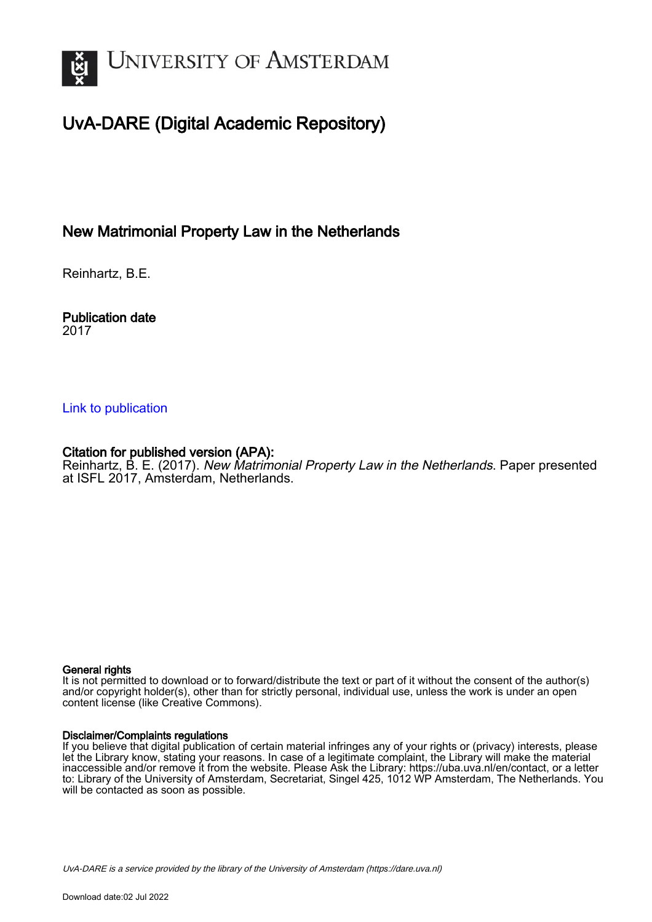

# UvA-DARE (Digital Academic Repository)

# New Matrimonial Property Law in the Netherlands

Reinhartz, B.E.

#### Publication date 2017

## [Link to publication](https://dare.uva.nl/personal/pure/en/publications/new-matrimonial-property-law-in-the-netherlands(27c11fba-0f14-49b1-8bcd-3b9acd1f2e98).html)

# Citation for published version (APA):

Reinhartz, B. E. (2017). New Matrimonial Property Law in the Netherlands. Paper presented at ISFL 2017, Amsterdam, Netherlands.

#### General rights

It is not permitted to download or to forward/distribute the text or part of it without the consent of the author(s) and/or copyright holder(s), other than for strictly personal, individual use, unless the work is under an open content license (like Creative Commons).

#### Disclaimer/Complaints regulations

If you believe that digital publication of certain material infringes any of your rights or (privacy) interests, please let the Library know, stating your reasons. In case of a legitimate complaint, the Library will make the material inaccessible and/or remove it from the website. Please Ask the Library: https://uba.uva.nl/en/contact, or a letter to: Library of the University of Amsterdam, Secretariat, Singel 425, 1012 WP Amsterdam, The Netherlands. You will be contacted as soon as possible.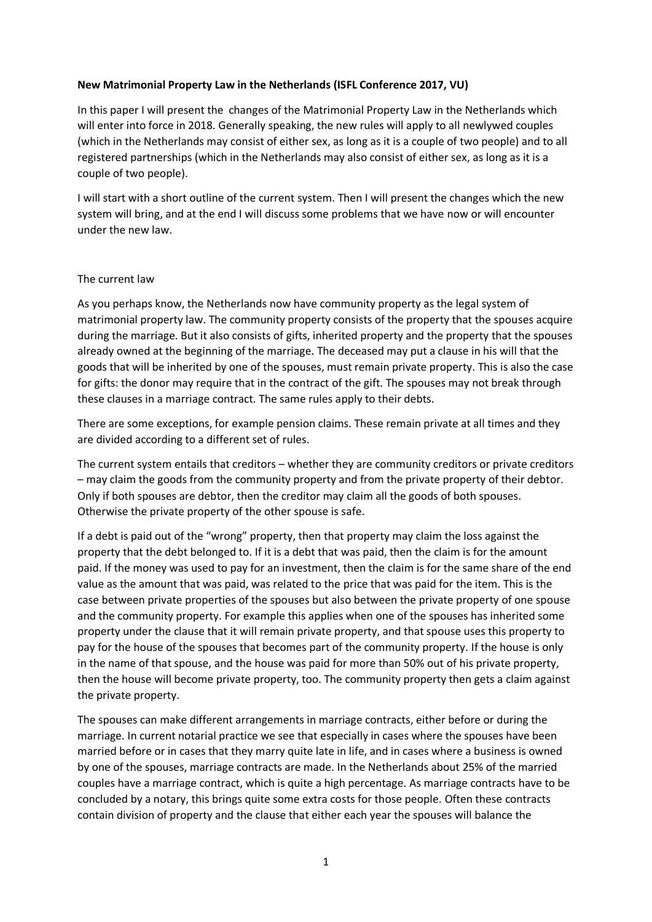#### **New Matrimonial Property Law in the Netherlands (ISFL Conference 2017, VU)**

In this paper I will present the changes of the Matrimonial Property Law in the Netherlands which will enter into force in 2018. Generally speaking, the new rules will apply to all newlywed couples (which in the Netherlands may consist of either sex, as long as it is a couple of two people) and to all registered partnerships (which in the Netherlands may also consist of either sex, as long as it is a couple of two people).

I will start with a short outline of the current system. Then I will present the changes which the new system will bring, and at the end I will discuss some problems that we have now or will encounter under the new law.

#### The current law

As you perhaps know, the Netherlands now have community property as the legal system of matrimonial property law. The community property consists of the property that the spouses acquire during the marriage. But it also consists of gifts, inherited property and the property that the spouses already owned at the beginning of the marriage. The deceased may put a clause in his will that the goods that will be inherited by one of the spouses, must remain private property. This is also the case for gifts: the donor may require that in the contract of the gift. The spouses may not break through these clauses in a marriage contract. The same rules apply to their debts.

There are some exceptions, for example pension claims. These remain private at all times and they are divided according to a different set of rules.

The current system entails that creditors – whether they are community creditors or private creditors – may claim the goods from the community property and from the private property of their debtor. Only if both spouses are debtor, then the creditor may claim all the goods of both spouses. Otherwise the private property of the other spouse is safe.

If a debt is paid out of the "wrong" property, then that property may claim the loss against the property that the debt belonged to. If it is a debt that was paid, then the claim is for the amount paid. If the money was used to pay for an investment, then the claim is for the same share of the end value as the amount that was paid, was related to the price that was paid for the item. This is the case between private properties of the spouses but also between the private property of one spouse and the community property. For example this applies when one of the spouses has inherited some property under the clause that it will remain private property, and that spouse uses this property to pay for the house of the spouses that becomes part of the community property. If the house is only in the name of that spouse, and the house was paid for more than 50% out of his private property, then the house will become private property, too. The community property then gets a claim against the private property.

The spouses can make different arrangements in marriage contracts, either before or during the marriage. In current notarial practice we see that especially in cases where the spouses have been married before or in cases that they marry quite late in life, and in cases where a business is owned by one of the spouses, marriage contracts are made. In the Netherlands about 25% of the married couples have a marriage contract, which is quite a high percentage. As marriage contracts have to be concluded by a notary, this brings quite some extra costs for those people. Often these contracts contain division of property and the clause that either each year the spouses will balance the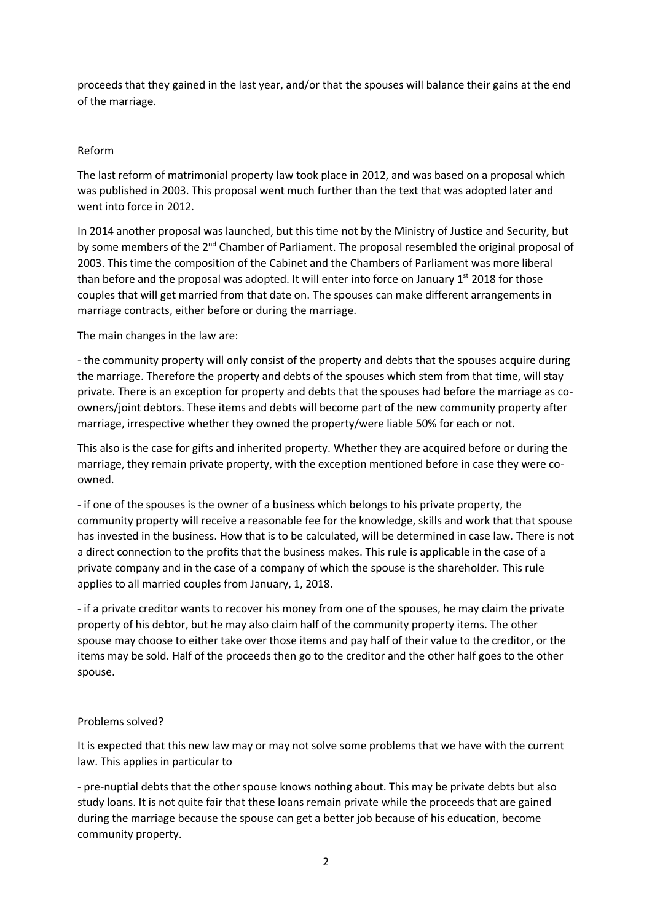proceeds that they gained in the last year, and/or that the spouses will balance their gains at the end of the marriage.

#### Reform

The last reform of matrimonial property law took place in 2012, and was based on a proposal which was published in 2003. This proposal went much further than the text that was adopted later and went into force in 2012.

In 2014 another proposal was launched, but this time not by the Ministry of Justice and Security, but by some members of the 2<sup>nd</sup> Chamber of Parliament. The proposal resembled the original proposal of 2003. This time the composition of the Cabinet and the Chambers of Parliament was more liberal than before and the proposal was adopted. It will enter into force on January 1<sup>st</sup> 2018 for those couples that will get married from that date on. The spouses can make different arrangements in marriage contracts, either before or during the marriage.

The main changes in the law are:

- the community property will only consist of the property and debts that the spouses acquire during the marriage. Therefore the property and debts of the spouses which stem from that time, will stay private. There is an exception for property and debts that the spouses had before the marriage as coowners/joint debtors. These items and debts will become part of the new community property after marriage, irrespective whether they owned the property/were liable 50% for each or not.

This also is the case for gifts and inherited property. Whether they are acquired before or during the marriage, they remain private property, with the exception mentioned before in case they were coowned.

- if one of the spouses is the owner of a business which belongs to his private property, the community property will receive a reasonable fee for the knowledge, skills and work that that spouse has invested in the business. How that is to be calculated, will be determined in case law. There is not a direct connection to the profits that the business makes. This rule is applicable in the case of a private company and in the case of a company of which the spouse is the shareholder. This rule applies to all married couples from January, 1, 2018.

- if a private creditor wants to recover his money from one of the spouses, he may claim the private property of his debtor, but he may also claim half of the community property items. The other spouse may choose to either take over those items and pay half of their value to the creditor, or the items may be sold. Half of the proceeds then go to the creditor and the other half goes to the other spouse.

## Problems solved?

It is expected that this new law may or may not solve some problems that we have with the current law. This applies in particular to

- pre-nuptial debts that the other spouse knows nothing about. This may be private debts but also study loans. It is not quite fair that these loans remain private while the proceeds that are gained during the marriage because the spouse can get a better job because of his education, become community property.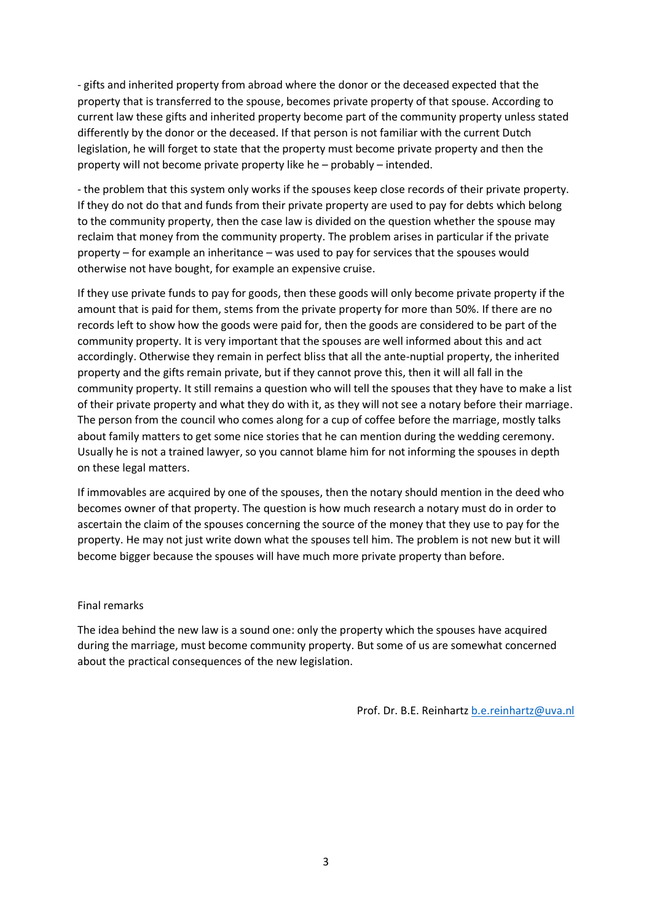- gifts and inherited property from abroad where the donor or the deceased expected that the property that is transferred to the spouse, becomes private property of that spouse. According to current law these gifts and inherited property become part of the community property unless stated differently by the donor or the deceased. If that person is not familiar with the current Dutch legislation, he will forget to state that the property must become private property and then the property will not become private property like he – probably – intended.

- the problem that this system only works if the spouses keep close records of their private property. If they do not do that and funds from their private property are used to pay for debts which belong to the community property, then the case law is divided on the question whether the spouse may reclaim that money from the community property. The problem arises in particular if the private property – for example an inheritance – was used to pay for services that the spouses would otherwise not have bought, for example an expensive cruise.

If they use private funds to pay for goods, then these goods will only become private property if the amount that is paid for them, stems from the private property for more than 50%. If there are no records left to show how the goods were paid for, then the goods are considered to be part of the community property. It is very important that the spouses are well informed about this and act accordingly. Otherwise they remain in perfect bliss that all the ante-nuptial property, the inherited property and the gifts remain private, but if they cannot prove this, then it will all fall in the community property. It still remains a question who will tell the spouses that they have to make a list of their private property and what they do with it, as they will not see a notary before their marriage. The person from the council who comes along for a cup of coffee before the marriage, mostly talks about family matters to get some nice stories that he can mention during the wedding ceremony. Usually he is not a trained lawyer, so you cannot blame him for not informing the spouses in depth on these legal matters.

If immovables are acquired by one of the spouses, then the notary should mention in the deed who becomes owner of that property. The question is how much research a notary must do in order to ascertain the claim of the spouses concerning the source of the money that they use to pay for the property. He may not just write down what the spouses tell him. The problem is not new but it will become bigger because the spouses will have much more private property than before.

#### Final remarks

The idea behind the new law is a sound one: only the property which the spouses have acquired during the marriage, must become community property. But some of us are somewhat concerned about the practical consequences of the new legislation.

Prof. Dr. B.E. Reinhartz [b.e.reinhartz@uva.nl](mailto:b.e.reinhartz@uva.nl)